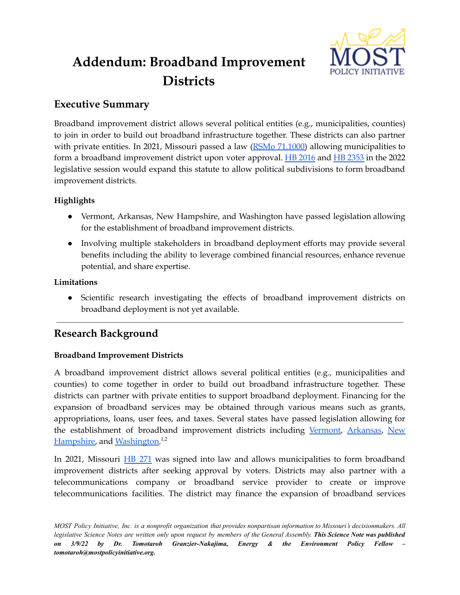

# **Addendum: Broadband Improvement Districts**

## **Executive Summary**

Broadband improvement district allows several political entities (e.g., municipalities, counties) to join in order to build out broadband infrastructure together. These districts can also partner with private entities. In 2021, Missouri passed a law  $(RSMo 71.1000)$  $(RSMo 71.1000)$  allowing municipalities to form a broadband improvement district upon voter approval. HB [2016](https://house.mo.gov/Bill.aspx?bill=HB2016&year=2022&code=R) and HB [2353](https://house.mo.gov/Bill.aspx?bill=HB2353&year=2022&code=R) in the 2022 legislative session would expand this statute to allow political subdivisions to form broadband improvement districts.

### **Highlights**

- Vermont, Arkansas, New Hampshire, and Washington have passed legislation allowing for the establishment of broadband improvement districts.
- Involving multiple stakeholders in broadband deployment efforts may provide several benefits including the ability to leverage combined financial resources, enhance revenue potential, and share expertise.

#### **Limitations**

● Scientific research investigating the effects of broadband improvement districts on broadband deployment is not yet available.

## **Research Background**

### **Broadband Improvement Districts**

A broadband improvement district allows several political entities (e.g., municipalities and counties) to come together in order to build out broadband infrastructure together. These districts can partner with private entities to support broadband deployment. Financing for the expansion of broadband services may be obtained through various means such as grants, appropriations, loans, user fees, and taxes. Several states have passed legislation allowing for the establishment of broadband improvement districts including [Vermont,](https://legislature.vermont.gov/bill/status/2016/H.117) [Arkansas,](https://www.arkleg.state.ar.us/Bills/Detail?id=HB1788&ddBienniumSession=2021%2F2021R) [New](https://gencourt.state.nh.us/bill_status/legacy/bs2016/bill_status.aspx?lsr=2051&sy=2020&sortoption=&txtsessionyear=2020&txtbillnumber=HB1111) [Hampshire,](https://gencourt.state.nh.us/bill_status/legacy/bs2016/bill_status.aspx?lsr=2051&sy=2020&sortoption=&txtsessionyear=2020&txtbillnumber=HB1111) and [Washington.](https://app.leg.wa.gov/billsummary?BillNumber=5383&Year=2021&Initiative=false#:~:text=Washington%20State%20Legislature&text=Authorizing%20a%20public%20utility%20district,C.%2C%20Wilson%2C%20L.)<sup>1,2</sup>

In 2021, Missouri HB [271](https://www.house.mo.gov/billtracking/bills211/hlrbillspdf/0195H.08T.pdf) was signed into law and allows municipalities to form broadband improvement districts after seeking approval by voters. Districts may also partner with a telecommunications company or broadband service provider to create or improve telecommunications facilities. The district may finance the expansion of broadband services

MOST Policy Initiative, Inc. is a nonprofit organization that provides nonpartisan information to Missouri's decisionmakers. All legislative Science Notes are written only upon request by members of the General Assembly. This Science Note was published *on 3/9/22 by Dr. Tomotaroh Granzier-Nakajima, Energy & the Environment Policy Fellow – tomotaroh@mostpolicyinitiative.org.*